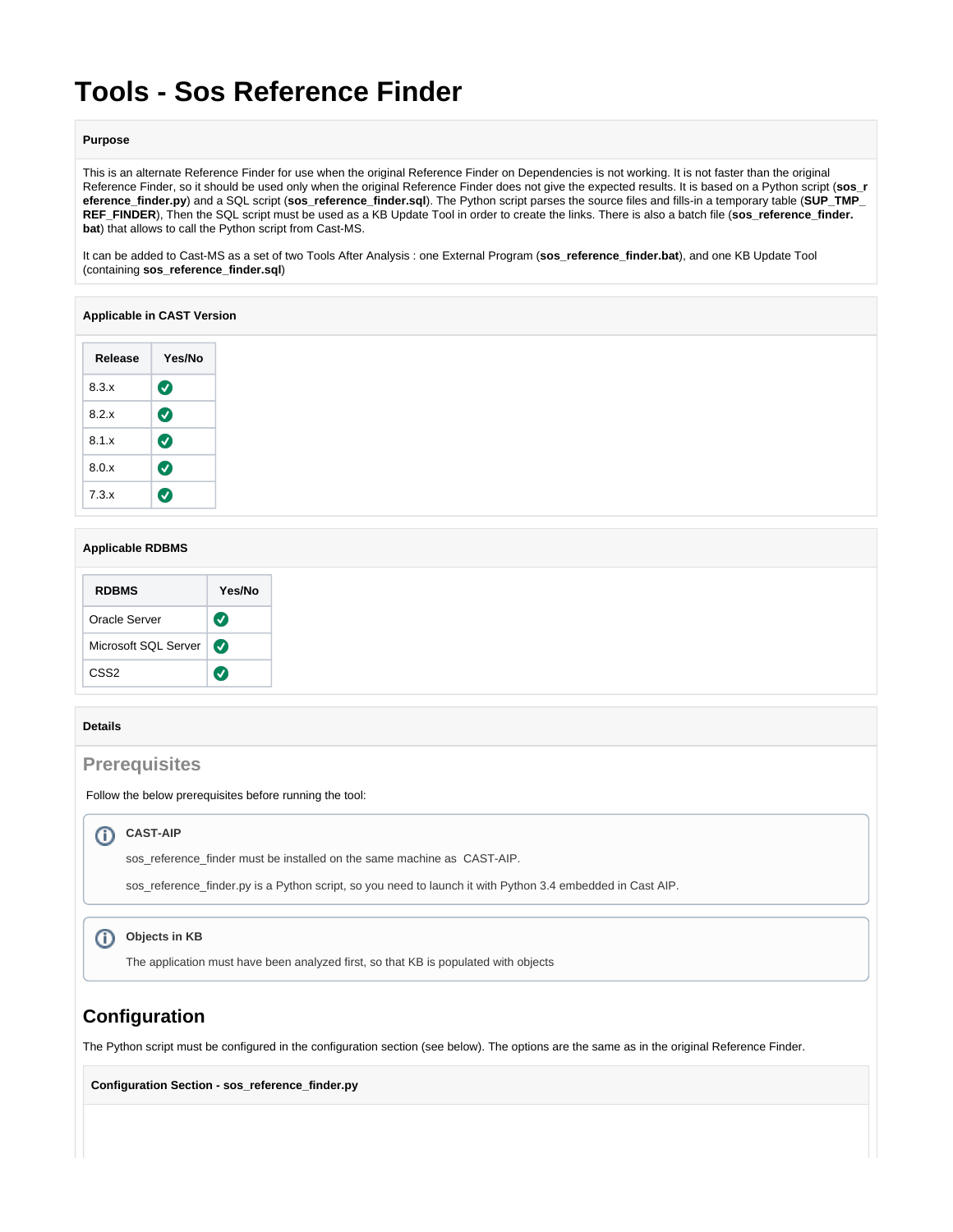# **Tools - Sos Reference Finder**

#### **Purpose**

This is an alternate Reference Finder for use when the original Reference Finder on Dependencies is not working. It is not faster than the original Reference Finder, so it should be used only when the original Reference Finder does not give the expected results. It is based on a Python script (**sos\_r eference\_finder.py**) and a SQL script (**sos\_reference\_finder.sql**). The Python script parses the source files and fills-in a temporary table (**SUP\_TMP\_ REF\_FINDER**), Then the SQL script must be used as a KB Update Tool in order to create the links. There is also a batch file (**sos\_reference\_finder. bat**) that allows to call the Python script from Cast-MS.

It can be added to Cast-MS as a set of two Tools After Analysis : one External Program (**sos\_reference\_finder.bat**), and one KB Update Tool (containing **sos\_reference\_finder.sql**)

#### **Applicable in CAST Version**

| Release | Yes/No                |
|---------|-----------------------|
| 8.3.x   | $\bm{\bm{\omega}}$    |
| 8.2 x   | $\boldsymbol{\sigma}$ |
| 8.1.x   | $\boldsymbol{\sigma}$ |
| 8.0.x   | $\boldsymbol{\sigma}$ |
| 7.3.x   | ✓                     |

### **Applicable RDBMS**

| <b>RDBMS</b>         | Yes/No                |
|----------------------|-----------------------|
| Oracle Server        | $\bm{J}$              |
| Microsoft SQL Server | $\boldsymbol{\Omega}$ |
| CSS <sub>2</sub>     |                       |

#### **Details**

## **Prerequisites**

Follow the below prerequisites before running the tool:

#### **CAST-AIP** O)

sos\_reference\_finder must be installed on the same machine as CAST-AIP.

sos\_reference\_finder.py is a Python script, so you need to launch it with Python 3.4 embedded in Cast AIP.

## **Objects in KB**

The application must have been analyzed first, so that KB is populated with objects

## **Configuration**

The Python script must be configured in the configuration section (see below). The options are the same as in the original Reference Finder.

**Configuration Section - sos\_reference\_finder.py**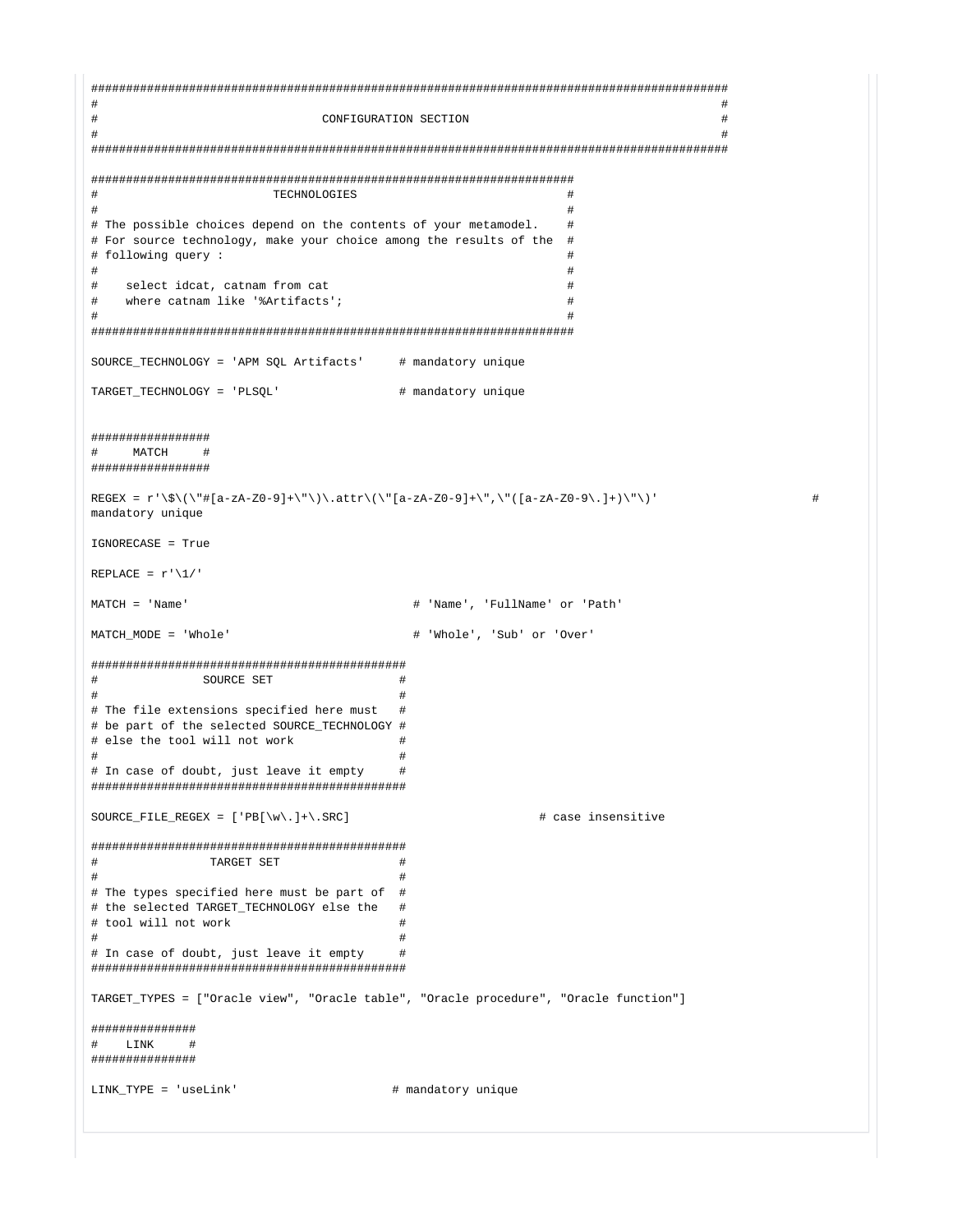$\pm$ CONFIGURATION SECTION  $#$  $\pm$ TECHNOLOGIES  $\pm$  $\ddagger$ # The possible choices depend on the contents of your metamodel.  $\pm$ # For source technology, make your choice among the results of the # # following query :  $\pm$ select idcat, catnam from cat  $\pmb{\mathrm{+}}$  $\pm$ where catnam like '%Artifacts';  $\pm$  $\pm$  $\pm$  $\pm$ SOURCE\_TECHNOLOGY = 'APM SQL Artifacts' # mandatory unique TARGET TECHNOLOGY = 'PLSOL' # mandatory unique **\*\*\*\*\*\*\*\*\*\*\*\*\*\*\*\*\*** MATCH  $+$  $\pm$ \*\*\*\*\*\*\*\*\*\*\*\*\*\*\*\*\*\* REGEX =  $r' \S \(\{\|\| \|a - zA - Z0 - 9\| + \|\|\| \) \ . \text{attr}\(\|\|\| a - zA - Z0 - 9\| + \|\| \) \ \| \$ mandatory unique IGNORECASE = True REPLACE =  $r' \1/$  $MATCH = 'Name'$ # 'Name', 'FullName' or 'Path' MATCH MODE = 'Whole' # 'Whole', 'Sub' or 'Over'  $\pm$ SOURCE SET  $#$  $\pm$  $#$ # The file extensions specified here must  $\pm$ # be part of the selected SOURCE\_TECHNOLOGY # # else the tool will not work  $\pm$  $\ddagger$ # In case of doubt, just leave it empty  $\pm$ SOURCE\_FILE\_REGEX =  $['PB[\w\\..] + \,.$  SRC] # case insensitive  $#$ TARGET SET  $\pm$  $\pmb{\mathrm{+}}$ # The types specified here must be part of # # the selected TARGET\_TECHNOLOGY else the # # tool will not work  $\overline{+}$ # In case of doubt, just leave it empty  $#$ TARGET TYPES = ["Oracle view", "Oracle table", "Oracle procedure", "Oracle function"] **\*\*\*\*\*\*\*\*\*\*\*\*\*\*\*** LINK  $\pm$  $\pm$ ############## LINK TYPE = 'useLink' # mandatory unique

 $\pm$ 

 $\pm$ 

 $\pm$ 

 $\pm$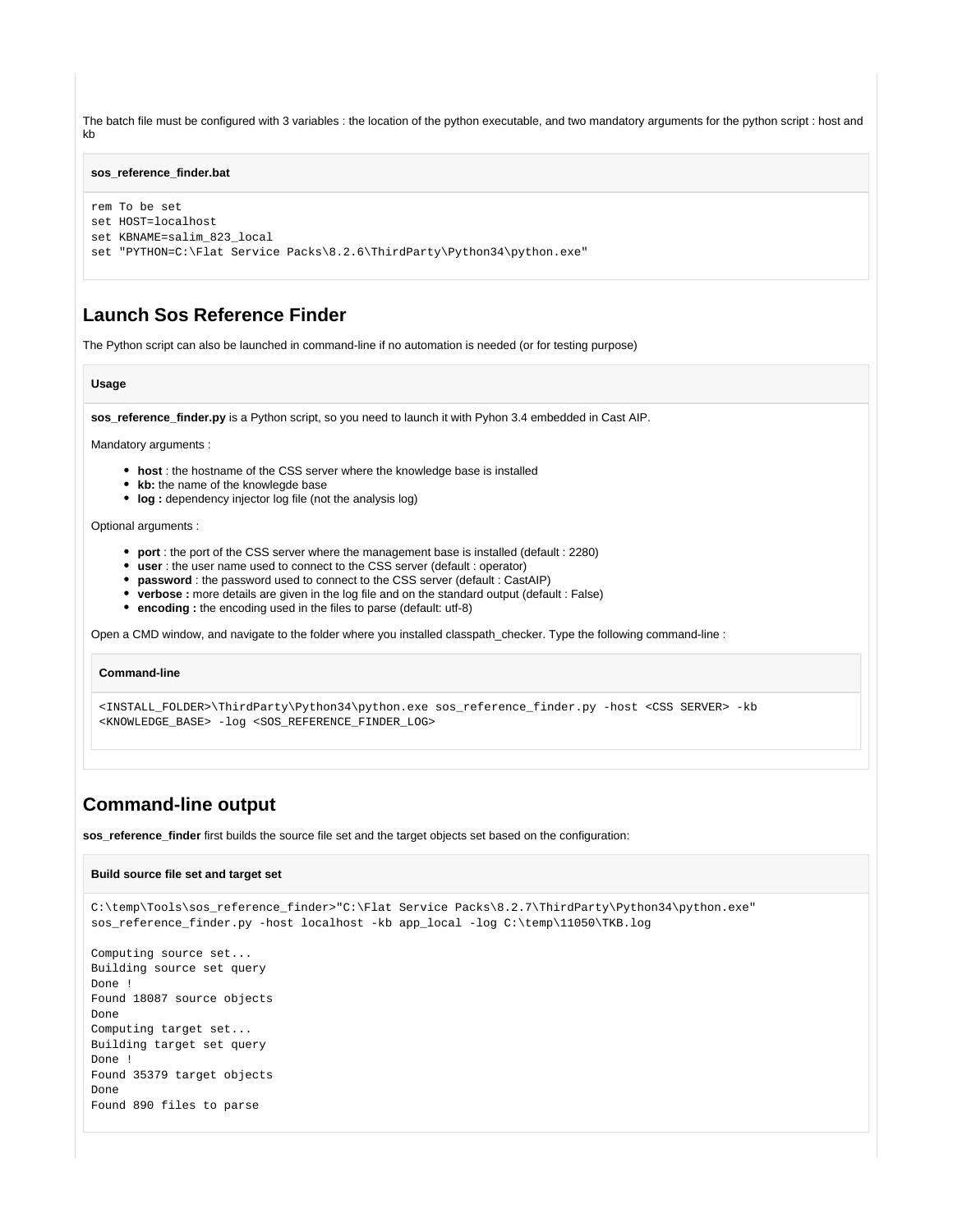The batch file must be configured with 3 variables : the location of the python executable, and two mandatory arguments for the python script : host and kb

#### **sos\_reference\_finder.bat**

```
rem To be set
set HOST=localhost
set KBNAME=salim_823_local
set "PYTHON=C:\Flat Service Packs\8.2.6\ThirdParty\Python34\python.exe"
```
## **Launch Sos Reference Finder**

The Python script can also be launched in command-line if no automation is needed (or for testing purpose)

#### **Usage**

**sos\_reference\_finder.py** is a Python script, so you need to launch it with Pyhon 3.4 embedded in Cast AIP.

Mandatory arguments :

- **host** : the hostname of the CSS server where the knowledge base is installed
- kb: the name of the knowlegde base
- log : dependency injector log file (not the analysis log)

Optional arguments :

- **port** : the port of the CSS server where the management base is installed (default : 2280)
- **user** : the user name used to connect to the CSS server (default : operator)
- **password** : the password used to connect to the CSS server (default : CastAIP)
- **verbose :** more details are given in the log file and on the standard output (default : False)
- **encoding :** the encoding used in the files to parse (default: utf-8)

Open a CMD window, and navigate to the folder where you installed classpath\_checker. Type the following command-line :

#### **Command-line**

<INSTALL\_FOLDER>\ThirdParty\Python34\python.exe sos\_reference\_finder.py -host <CSS SERVER> -kb <KNOWLEDGE\_BASE> -log <SOS\_REFERENCE\_FINDER\_LOG>

## **Command-line output**

**sos\_reference\_finder** first builds the source file set and the target objects set based on the configuration:

#### **Build source file set and target set**

```
C:\temp\Tools\sos_reference_finder>"C:\Flat Service Packs\8.2.7\ThirdParty\Python34\python.exe" 
sos_reference_finder.py -host localhost -kb app_local -log C:\temp\11050\TKB.log
```

```
Computing source set...
Building source set query
Done !
Found 18087 source objects
Done
Computing target set...
Building target set query
Done !
Found 35379 target objects
Done
Found 890 files to parse
```